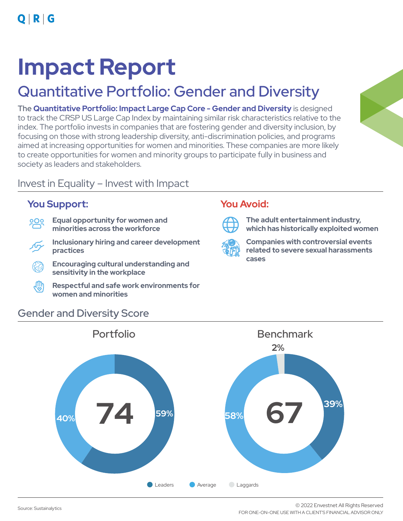## **Impact Report**

## Quantitative Portfolio: Gender and Diversity

The **Quantitative Portfolio: Impact Large Cap Core - Gender and Diversity** is designed to track the CRSP US Large Cap Index by maintaining similar risk characteristics relative to the index. The portfolio invests in companies that are fostering gender and diversity inclusion, by focusing on those with strong leadership diversity, anti-discrimination policies, and programs aimed at increasing opportunities for women and minorities. These companies are more likely to create opportunities for women and minority groups to participate fully in business and society as leaders and stakeholders.

## Invest in Equality – Invest with Impact

### **You Support: You Avoid:**

- **Equal opportunity for women and**  <u>000</u> **minorities across the workforce**
- **Inclusionary hiring and career development practices**
- **Encouraging cultural understanding and sensitivity in the workplace**
- ∰ **Respectful and safe work environments for women and minorities**



**The adult entertainment industry, which has historically exploited women**



**Companies with controversial events related to severe sexual harassments cases** 



## Gender and Diversity Score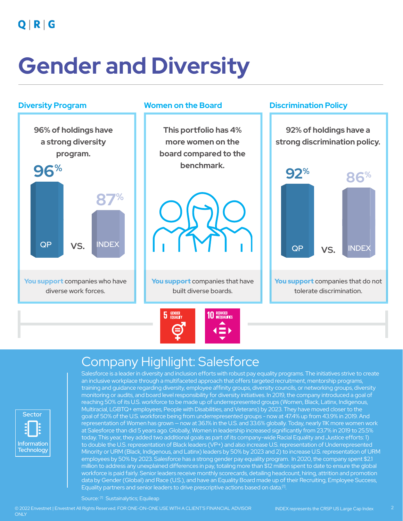$Q | R | G$ 

# **Gender and Diversity**



## Company Highlight: Salesforce



Salesforce is a leader in diversity and inclusion efforts with robust pay equality programs. The initiatives strive to create an inclusive workplace through a multifaceted approach that offers targeted recruitment, mentorship programs, training and guidance regarding diversity, employee affinity groups, diversity councils, or networking groups, diversity monitoring or audits, and board level responsibility for diversity initiatives. In 2019, the company introduced a goal of reaching 50% of its U.S. workforce to be made up of underrepresented groups (Women, Black, Latinx, Indigenous, Multiracial, LGBTQ+ employees, People with Disabilities, and Veterans) by 2023. They have moved closer to the goal of 50% of the U.S. workforce being from underrepresented groups - now at 47.4% up from 43.9% in 2019. And representation of Women has grown — now at 36.1% in the U.S. and 33.6% globally. Today, nearly 11K more women work at Salesforce than did 5 years ago. Globally, Women in leadership increased significantly from 23.7% in 2019 to 25.5% today. This year, they added two additional goals as part of its company-wide Racial Equality and Justice efforts: 1) to double the U.S. representation of Black leaders (VP+) and also increase U.S. representation of Underrepresented Minority or URM (Black, Indigenous, and Latinx) leaders by 50% by 2023 and 2) to increase U.S. representation of URM employees by 50% by 2023. Salesforce has a strong gender pay equality program. In 2020, the company spent \$2.1 million to address any unexplained differences in pay, totaling more than \$12 million spent to date to ensure the global workforce is paid fairly. Senior leaders receive monthly scorecards, detailing headcount, hiring, attrition and promotion data by Gender (Global) and Race (U.S.), and have an Equality Board made up of their Recruiting, Employee Success, Equality partners and senior leaders to drive prescriptive actions based on data.<sup>[1]</sup>.

Source: [1] Sustainalytics; Equileap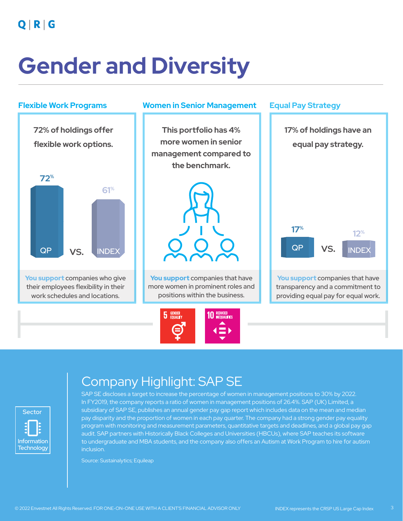$Q | R | G$ 

# **Gender and Diversity**



## Company Highlight: SAP SE

Sector Information **Technology**  $:\!\!\Box$ 

SAP SE discloses a target to increase the percentage of women in management positions to 30% by 2022. In FY2019, the company reports a ratio of women in management positions of 26.4%. SAP (UK) Limited, a subsidiary of SAP SE, publishes an annual gender pay gap report which includes data on the mean and median pay disparity and the proportion of women in each pay quarter. The company had a strong gender pay equality program with monitoring and measurement parameters, quantitative targets and deadlines, and a global pay gap audit. SAP partners with Historically Black Colleges and Universities (HBCUs), where SAP teaches its software to undergraduate and MBA students, and the company also offers an Autism at Work Program to hire for autism inclusion.

Source: Sustainalytics; Equileap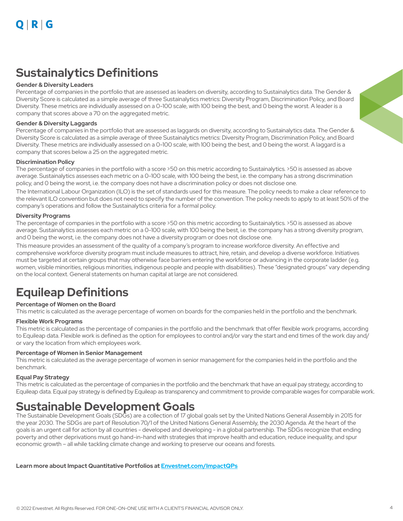## **Sustainalytics Definitions**

#### **Gender & Diversity Leaders**

Percentage of companies in the portfolio that are assessed as leaders on diversity, according to Sustainalytics data. The Gender & Diversity Score is calculated as a simple average of three Sustainalytics metrics: Diversity Program, Discrimination Policy, and Board Diversity. These metrics are individually assessed on a 0-100 scale, with 100 being the best, and 0 being the worst. A leader is a company that scores above a 70 on the aggregated metric.

#### **Gender & Diversity Laggards**

Percentage of companies in the portfolio that are assessed as laggards on diversity, according to Sustainalytics data. The Gender & Diversity Score is calculated as a simple average of three Sustainalytics metrics: Diversity Program, Discrimination Policy, and Board Diversity. These metrics are individually assessed on a 0-100 scale, with 100 being the best, and 0 being the worst. A laggard is a company that scores below a 25 on the aggregated metric.

#### **Discrimination Policy**

The percentage of companies in the portfolio with a score >50 on this metric according to Sustainalytics. >50 is assessed as above average. Sustainalytics assesses each metric on a 0-100 scale, with 100 being the best, i.e. the company has a strong discrimination policy, and 0 being the worst, i.e. the company does not have a discrimination policy or does not disclose one.

The International Labour Organization (ILO) is the set of standards used for this measure. The policy needs to make a clear reference to the relevant ILO convention but does not need to specify the number of the convention. The policy needs to apply to at least 50% of the company's operations and follow the Sustainalytics criteria for a formal policy.

#### **Diversity Programs**

The percentage of companies in the portfolio with a score >50 on this metric according to Sustainalytics. >50 is assessed as above average. Sustainalytics assesses each metric on a 0-100 scale, with 100 being the best, i.e. the company has a strong diversity program, and 0 being the worst, i.e. the company does not have a diversity program or does not disclose one.

This measure provides an assessment of the quality of a company's program to increase workforce diversity. An effective and comprehensive workforce diversity program must include measures to attract, hire, retain, and develop a diverse workforce. Initiatives must be targeted at certain groups that may otherwise face barriers entering the workforce or advancing in the corporate ladder (e.g. women, visible minorities, religious minorities, indigenous people and people with disabilities). These "designated groups" vary depending on the local context. General statements on human capital at large are not considered.

## **Equileap Definitions**

### **Percentage of Women on the Board**

This metric is calculated as the average percentage of women on boards for the companies held in the portfolio and the benchmark.

#### **Flexible Work Programs**

This metric is calculated as the percentage of companies in the portfolio and the benchmark that offer flexible work programs, according to Equileap data. Flexible work is defined as the option for employees to control and/or vary the start and end times of the work day and/ or vary the location from which employees work.

#### **Percentage of Women in Senior Management**

This metric is calculated as the average percentage of women in senior management for the companies held in the portfolio and the benchmark.

#### **Equal Pay Strategy**

This metric is calculated as the percentage of companies in the portfolio and the benchmark that have an equal pay strategy, according to Equileap data. Equal pay strategy is defined by Equileap as transparency and commitment to provide comparable wages for comparable work.

## **Sustainable Development Goals**

The Sustainable Development Goals (SDGs) are a collection of 17 global goals set by the United Nations General Assembly in 2015 for the year 2030. The SDGs are part of Resolution 70/1 of the United Nations General Assembly, the 2030 Agenda. At the heart of the goals is an urgent call for action by all countries - developed and developing - in a global partnership. The SDGs recognize that ending poverty and other deprivations must go hand-in-hand with strategies that improve health and education, reduce inequality, and spur economic growth – all while tackling climate change and working to preserve our oceans and forests.

**Learn more about Impact Quantitative Portfolios at Envestnet.com/ImpactQPs**